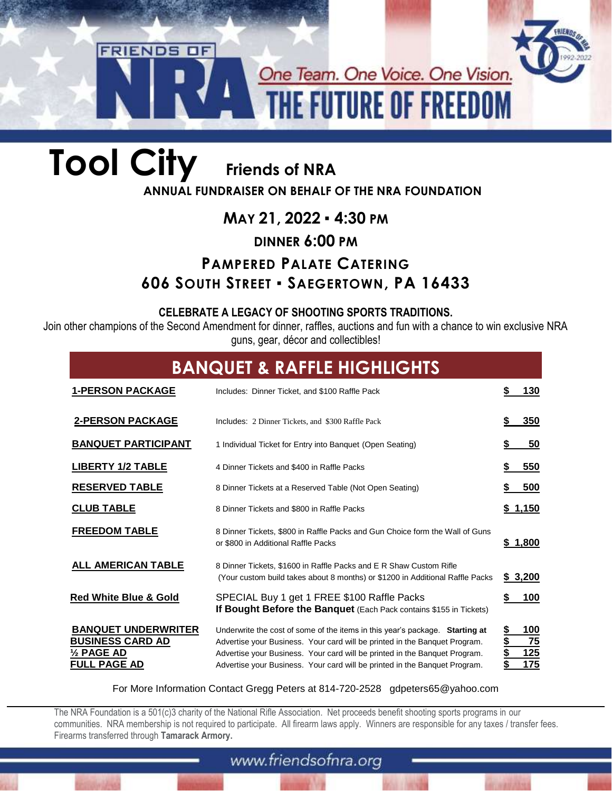## One Team. One Voice. One Vision. **THE FUTURE OF FREEDOM**

# **Tool City Friends of NRA**

**FRIENDS OF** 

**ANNUAL FUNDRAISER ON BEHALF OF THE NRA FOUNDATION**

### **MAY 21, 2022** ▪ **4:30 PM**

#### **DINNER 6:00 PM**

### **PAMPERED PALATE CATERING 606 SOUTH STREET ▪ SAEGERTOWN, PA 16433**

#### **CELEBRATE A LEGACY OF SHOOTING SPORTS TRADITIONS.**

Join other champions of the Second Amendment for dinner, raffles, auctions and fun with a chance to win exclusive NRA guns, gear, décor and collectibles!

| <b>BANQUET &amp; RAFFLE HIGHLIGHTS</b>                                                                |                                                                                                                                                                                                                                                                                                                        |                                 |
|-------------------------------------------------------------------------------------------------------|------------------------------------------------------------------------------------------------------------------------------------------------------------------------------------------------------------------------------------------------------------------------------------------------------------------------|---------------------------------|
| <b>1-PERSON PACKAGE</b>                                                                               | Includes: Dinner Ticket, and \$100 Raffle Pack                                                                                                                                                                                                                                                                         | 130                             |
| <b>2-PERSON PACKAGE</b>                                                                               | Includes: 2 Dinner Tickets, and \$300 Raffle Pack                                                                                                                                                                                                                                                                      | 350                             |
| <b>BANQUET PARTICIPANT</b>                                                                            | 1 Individual Ticket for Entry into Banquet (Open Seating)                                                                                                                                                                                                                                                              | 50                              |
| <b>LIBERTY 1/2 TABLE</b>                                                                              | 4 Dinner Tickets and \$400 in Raffle Packs                                                                                                                                                                                                                                                                             | 550                             |
| <b>RESERVED TABLE</b>                                                                                 | 8 Dinner Tickets at a Reserved Table (Not Open Seating)                                                                                                                                                                                                                                                                | 500                             |
| <b>CLUB TABLE</b>                                                                                     | 8 Dinner Tickets and \$800 in Raffle Packs                                                                                                                                                                                                                                                                             | \$1,150                         |
| <b>FREEDOM TABLE</b>                                                                                  | 8 Dinner Tickets, \$800 in Raffle Packs and Gun Choice form the Wall of Guns<br>or \$800 in Additional Raffle Packs                                                                                                                                                                                                    | \$1,800                         |
| ALL AMERICAN TABLE                                                                                    | 8 Dinner Tickets, \$1600 in Raffle Packs and E R Shaw Custom Rifle<br>(Your custom build takes about 8 months) or \$1200 in Additional Raffle Packs                                                                                                                                                                    | \$3,200                         |
| <b>Red White Blue &amp; Gold</b>                                                                      | SPECIAL Buy 1 get 1 FREE \$100 Raffle Packs<br>If Bought Before the Banquet (Each Pack contains \$155 in Tickets)                                                                                                                                                                                                      | 100                             |
| <b>BANQUET UNDERWRITER</b><br><b>BUSINESS CARD AD</b><br>$\frac{1}{2}$ PAGE AD<br><b>FULL PAGE AD</b> | Underwrite the cost of some of the items in this year's package. Starting at<br>Advertise your Business. Your card will be printed in the Banquet Program.<br>Advertise your Business. Your card will be printed in the Banquet Program.<br>Advertise your Business. Your card will be printed in the Banquet Program. | <u> 100</u><br>75<br>125<br>175 |

For More Information Contact Gregg Peters at 814-720-2528 gdpeters65@yahoo.com

The NRA Foundation is a 501(c)3 charity of the National Rifle Association. Net proceeds benefit shooting sports programs in our communities. NRA membership is not required to participate. All firearm laws apply. Winners are responsible for any taxes / transfer fees. Firearms transferred through **Tamarack Armory.**